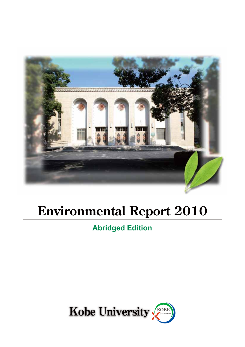

# **Environmental Report 2010**

# **Abridged Edition**

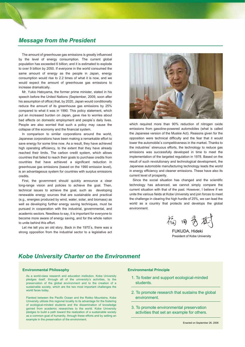### *Message from the President*

The amount of greenhouse gas emissions is greatly influenced by the level of energy consumption. The current global population has exceeded 6 billion; and it is estimated to explode to over 9 billion by 2050. If everyone in the world consumed the same amount of energy as the people in Japan, energy consumption would rise to 2.2 times of what it is now, and we would expect the amount of greenhouse gas emissions to increase dramatically.

Mr. Yukio Hatoyama, the former prime minister, stated in his speech before the United Nations (September, 2009, soon after his assumption of office) that, by 2020, Japan would conditionally reduce the amount of its greenhouse gas emissions by 25% compared to what it was in 1990. This policy statement, which put an increased burden on Japan, gave rise to worries about bad effects on domestic employment and people's daily lives. People are also worried that such a policy may cause the collapse of the economy and the financial system.

In comparison to similar corporations around the world, Japanese corporations have been making a remarkable effort to save energy for some time now. As a result, they have achieved high operating efficiency, to the extent that they have already reached their limits. The carbon credit system, which allows countries that failed to reach their goals to purchase credits from countries that have achieved a significant reduction in greenhouse gas emissions (based on the 1990 emission level), is an advantageous system for countries with surplus emissions credits.

First, the government should quickly announce a clear long-range vision and policies to achieve the goal. Then, technical issues to achieve the goal, such as developing renewable energy sources that are sustainable and practical (e.g., energies produced by wind, water, solar, and biomass) as well as developing further energy saving techniques, must be pursued in cooperation with the industrial, governmental, and academic sectors. Needless to say, it is important for everyone to become more aware of energy saving, and for the whole nation to unite behind this effort.

Let me tell you an old story. Back in the 1970's, there was a strong opposition from the industrial sector to a legislative act



which required more than 90% reduction of nitrogen oxide emissions from gasoline-powered automobiles (what is called the Japanese version of the Muskie Act). Reasons given for the opposition were technical difficulty and the fear that it would lower the automobile's competitiveness in the market. Thanks to the industries' strenuous efforts, the technology to reduce gas emissions was successfully developed in time to meet the implementation of the targeted regulation in 1978. Based on the result of such revolutionary and technological development, the Japanese automobile manufacturing technology leads the world in energy efficiency and cleaner emissions. These have also its current level of prosperity.

Since the social situation has changed and the scientific technology has advanced, we cannot simply compare the current situation with that of the past. However, I believe if we unite the various fields at Kobe University and join forces to meet the challenge in clearing the high hurdle of 25%, we can lead the world as a country that protects and develops the global environment.

裕日秀

FUKUDA, Hideki President of Kobe University

### *Kobe University Charter on the Environment*

#### **Environmental Philosophy**

As a world-class research and education institution, Kobe University pledges itself, through all of the university's activities, to the preservation of the global environment and to the creation of a sustainable society, which are the two most important challenges the world faces today.

Flanked between the Pacific Ocean and the Rokko Mountains, Kobe University utilizes this regional locality to its advantage for the fostering of ecological-minded students and the dissemination of knowledge gained from academic researches to the world. Kobe University pledges to build a path toward the realization of a sustainable society as a common goal of humanity, through these efforts and by setting an example in the preservation of the environment.

#### **Environmental Principle**

- 1. To foster and support ecological-minded students.
- 2. To promote research that sustains the global environment.
- 3. To promote environmental preservation activities that set an example for others.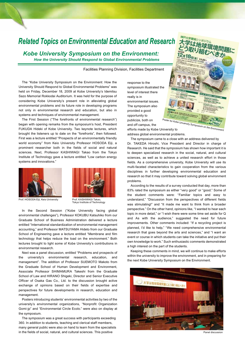# *Related Topics on Environmental Education and Research*

*Kobe University Symposium on the Environment: How the University Should Respond to Global Environmental Problems* 

Facilities Planning Division, Facilities Department

The "Kobe University Symposium on the Environment: How the University Should Respond to Global Environmental Problems" was held on Friday, December 18, 2009 at Kobe University's Idemitsu Sazo Memorial Rokkodai Auditorium. It was held for the purpose of considering Kobe University's present role in alleviating global environmental problems and its future role in developing programs not only in environmental research and education, but also in systems and techniques of environmental management.

The First Session ("The forefronts of environmental research") began with opening remarks from the symposium's host, President FUKUDA Hideki of Kobe University. Two keynote lectures, which brought the listeners up to date on the "forefronts", then followed. First was a lecture entitled "Prospects of an environmentally friendly world economy" from Keio University Professor HOSODA Eiji, a prominent researcher both in the fields of social and natural sciences. Next, Professor KASHIWAGI Takao from the Tokyo Institute of Technology gave a lecture entitled "Low carbon energy systems and innovations."





Prof. HOSODA Eiji, Keio University

Tokyo Institute of Technology

In the Second Session ("Kobe University facing global environmental challenges"), Professor KOKUBU Katsuhiko from our Graduate School of Business Administration delivered a lecture entitled "International standardization of environmental management accounting," and Professor MATSUYAMA Hideto from our Graduate School of Engineering gave a lecture entitled "Membrane and film technology that helps reduce the load on the environment." Both lectures brought to light some of Kobe University's contributions in environmental research.

Next was a panel discussion, entitled "Problems and prospects of the university's environmental research, education, and management". The addition of Professor SUEMOTO Makoto from the Graduate School of Human Development and Environment, Associate Professor SHIMAMURA Takeshi from the Graduate School of Law and HIRANO Shigeki, Director and Senior Executive Officer of Osaka Gas Co., Ltd. to the discussion brought active exchange of opinions based on their fields of expertise and perspectives for future developments in research, education and management.

Posters introducing students' environmental activities by two of the university's environmental organizations, "Nonprofit Organization Gomi-jp" and "Environmental Circle Ecolo." were also on display at the symposium.

The symposium was a great success with participants exceeding 360. In addition to students, teaching and clerical staff members, many general public were also on hand to learn from the specialists in the fields of social, natural, and cultural sciences. This positive

response to the symposium illustrated the level of interest there really is in environmental issues. The symposium also provided a good opportunity to publicize, both on and off campus, the

efforts made by Kobe University to address global environmental problems.

Poster for Kobe University Symposium on the Environ

The symposium came to a close with an address delivered by Dr. TAKEDA Hiroshi, Vice President and Director in charge of Research. He said that the symposium has shown how important it is to deepen specialized research in the social, natural, and cultural sciences, as well as to achieve a united research effort in those fields. As a comprehensive university, Kobe University will use its multi-faceted characteristics to gain cooperation from the various disciplines in further developing environmental education and research so that it may contribute toward solving global environment problems.

According to the results of a survey conducted that day, more than 83% rated the symposium as either "very good" or "good." Some of the student comments were: "Familiar topics and easy to understand," "Discussion from the perspectives of different fields was stimulating!" and "It made me want to think from a broader perspective." On the other hand, opinions like, "I wanted to hear each topic in more detail," or "I wish there were some time set aside for Q and As with the audience," suggested the need for future improvements. Other comments included: "If a recycling project is planned, I'd like to help," "We need comprehensive environmental research that goes beyond the arts and sciences," and "I want an event or course in which students can take the initiative and put their own knowledge to work." Such enthusiastic comments demonstrated a high interest on the part of the students.

Keeping these comments in mind, we will continue to make efforts within the university to improve the environment, and in preparing for the next Kobe University Symposium on the Environment.



Panel discussion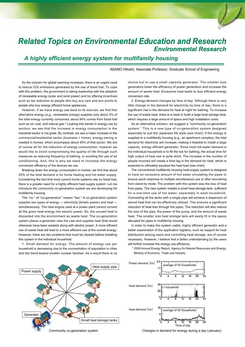# *Related Topics on Environmental Education and Research Environmental Research*

*A highly efficient energy system for multifamily housing*

ASANO Hitoshi, Associate Professor, Graduate School of Engineering

As the concern for global warming increases; there is an urgent need to reduce CO2 emissions generated by the use of fossil fuel. To cope with this problem, the government is taking leadership with the adoption of renewable energy (solar and wind power) and by offering incentives such as tax reduction to people who buy eco cars and eco points to people who buy energy efficient home appliances.

However, if we trace energy use back to its sources, we find that alternative energy (e.g., renewable energy) supplies only about 3% of the total energy currently consumed; about 84% comes from fossil fuel such as oil, coal, and natural gas.\* Looking into trends in energy use by sectors, we see that the increase in energy consumption in the industrial sector is not great. By contrast, we see a major increase in the commercial/residential sector (business + home); energy-saving is needed in homes, which encompass about 40% of that sector. We are of course all for the reduction of energy consumption, however we would like to avoid compromising the quality of life through such measures as reducing frequency of bathing, or avoiding the use of air conditioning. And, this is why we need to increase the energy conversion efficiency of the devices we use.

Breaking down the energy consumption in homes, we find that about 50% of the total demand is for home heating and hot water supply. Considering the fact that most current home systems rely on fossil fuel, there is a greater need for a highly efficient heat supply system. Let me introduce the community co-generation system we are developing for multifamily housing.

The "co-" of "co-generation" means "two." A co-generation system supplies two types of energy — electricity (kinetic power) and heat simultaneously. The heat engine used at a power plant cannot convert all the given heat energy into electric power. So, the unused heat is discarded into the environment as waste heat. The co-generation system places a generator near the user and supplies heat (that would otherwise have been wasted) along with electric power. A more efficient use of waste heat will lead to a more efficient use of the overall energy. However, there are two problems that must be cleared before installing this system in the individual household.

1. Small demand for energy: The amount of energy use per household is decreasing due to the concentration of population in cities and the trend toward smaller nuclear families. As a result there is no

Heat supply pipe

Small heat storage tanks

choice but to use a small capacity generator. The smaller-size generators lower the efficiency of power generation and increase the amount of waste heat. Excessive heat leads to less efficient energy conversion rate.

2. Energy-demand changes by time of day: Although there is very little change in the demand for electricity by time of day, there is a significant rise in the demand for heat at night for bathing. To increase the use of waste heat, there is a need to build a large heat storage tank, which requires a large amount of space and high installation costs.

As an alternative solution, we suggest a "community co-generation system." This is a new type of co-generation system designed especially to suit the Japanese life style (see chart). If the energy is supplied to a multifamily housing (e.g., an apartment complex), the total demand for electricity will increase, making it feasible to install a large capacity, energy efficient generator. Since most hot-water demand in the individual household is to fill the tub for bathing, the actual time for high output of heat use is quite short. The increase in the number of people involved will create a time-lag in the demand for heat, which is expected to ultimately equalize the heat load (see chart).

The conventional multifamily housing heat-supply system is designed to have an excessive amount of hot water circulating the pipes to ensure quick response to multiple simultaneous use or after recovering from stand-by mode. The problem with this system was the loss of heat from pipes. The new system installs a small heat storage tank, sufficient for a one-time use of hot water, separately in each household. Connecting all the tanks with a single pipe will achieve a dispersion of stored heat that can be effectively utilized. This ensures a significant reduction of heat loss through the pipes. The reduction will also reduce the size of the pipe, the power of the pump, and the amount of waste heat. The smaller size heat storage tank will easily fit in the space allocated for pipes in multifamily housing.

In order to make the system viable, highly efficient generator and a better examination of the application logistics, such as support for heat distribution among users and controlling heat storage, are of course necessary. However, I believe that a better understanding by the users will further increase the energy use efficiency.



\* 2009 Annual Energy Report, Agency for Natural Resources and Energy, Ministry of Economy, Trade and Industry

Generator

Power supply

Community co-generation system Changes in demand for energy during a day (January)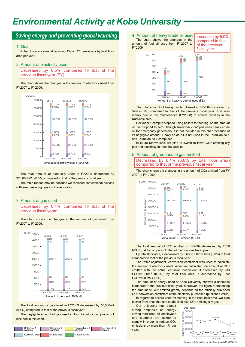# *Environmental Activity at Kobe University*

### **Saving energy and preventing global warming** 4. Amount of heavy crude oil used

#### 1. Goal

Kobe University aims at reducing 1% of CO2 emissions by total floor area per year.

#### 2. Amount of electricity used

Decreased by 0.5% compared to that of the previous fiscal year (FY).

The chart shows the changes in the amount of electricity used from FY2007 to FY2009.



The total amount of electricity used in FY2009 decreased by 323,000kWh (0.5%) compared to that of the previous fiscal year.

The main reason may be because we replaced conventional devices with energy-saving types in the renovation.

#### 3. Amount of gas used

Decreased by 0.4% compared to that of the previous fiscal yearr

The chart shows the changes in the amount of gas used from FY2007 to FY2009.



The total amount of gas used in FY2009 decreased by 18,000m3 (0.4%) compared to that of the previous fiscal year.

The negligible amount of gas used at Tsurukabuto 2 campus is not included in this chart.



The chart shows the changes in the amount of fuel oil used from FY2007 to FY2009. Increased by 5.0% compared to that of the previous fiscal year



The total amount of heavy crude oil used in FY2009 increased by 32kl (5.0%) compared to that of the previous fiscal year. This was mainly due to the maintenance (FY2008) of animal facilities in the Kusunoki area.

Rokkodai 1 campus stopped using boilers for heating, so the amount of use dropped to zero. Though Rokkodai 2 campus uses heavy crude oil for emergency generators, it is not included in this chart because of its negligible amount. Heavy crude oil is not used in the Tsurukabuto 1 and Tsurukabuto 2 campuses.

In future renovations, we plan to switch to lower CO<sub>2</sub> emitting city gas and electricity to heat the facilities.

#### 5. Amount of greenhouse gas emitted

Decreased by 6.4% (6.8% by total floor area) compared to that of the previous fiscal year

The chart shows the changes in the amount of CO2 emitted from FY 2007 to FY 2009.



The total amount of CO2 emitted in FY2009 decreased by 2358 t-CO2 (6.4%) compared to that of the previous fiscal year.

By total floor area, it decreased by 5.68 t-CO2/1000m2 (6.8%) in total compared to that of the previous fiscal year.

The "after adjustment" conversion coefficient was used to calculate the amount of electricity used. When we calculated the amount of CO2 emitted with the actual emission coefficient, it decreased by 233 t-CO2/1000m2 (0.6%); by total floor area, it decreased by 0.92 t-CO2/1000m2 (1.1%).

The amount of energy used at Kobe University showed a decrease compared to the previous fiscal year. Moreover, the figure representing the amount of CO2 emitted greatly depends on the officially published CO2 conversion coefficient of the electricity purchased (published value). In regards to boilers used for heating in the Kusunoki area, we plan

to shift from ones that use crude oil to less CO2 emitting city gas.

Our university has placed strong emphasis on energy saving measures. All employees and students are asked to comply in order to reduce CO2 emissions by more than 1% per



Amount of CO2 emitted by total floor area (t-CO2/1000m2)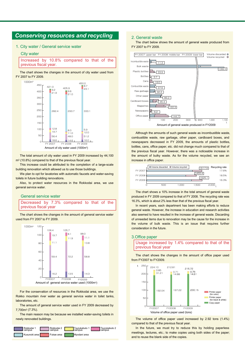# *Conserving resources and recycling*

#### 1. City water / General service water

#### City water



The chart shows the changes in the amount of city water used from FY 2007 to FY 2009.



The total amount of city water used in FY 2009 increased by 44,100 m3 (10.8%) compared to that of the previous fiscal year.

This increase could be attributed to the completion of a large-scale building renovation which allowed us to use those buildings.

We plan to opt for lavatories with automatic faucets and water-saving toilets in future building renovations.

Also, to protect water resources in the Rokkodai area, we use general service water.

#### General service water



The chart shows the changes in the amount of general service water used from FY 2007 to FY 2009.



For the conservation of resources in the Rokkodai area, we use the Rokko mountain river water as general service water in toilet tanks, laboratories, etc.

The amount of general service water used in FY 2009 decreased by 7,700m3 (7.3%).

The main reason may be because we installed water-saving toilets in newly renovated buildings.



#### 2. General waste

The chart below shows the amount of general waste produced from FY 2007 to FY 2009.



Although the amounts of such general waste as incombustible waste, combustible waste, raw garbage, other paper, cardboard boxes, and newspapers decreased in FY 2009, the amounts of plastic bottles, bottles, cans, office paper, etc. did not change much compared to that of the previous fiscal year. However, there was a noticeable increase in the amount of bulky waste. As for the volume recycled, we see an increase in office paper.



The chart shows a 10% increase in the total amount of general waste produced in FY 2009 compared to that of FY 2008. The recycling rate was 16.3%, which is about 2% less than that of the previous fiscal year.

In recent years, each department has been making efforts to reduce general waste. However, the increase in education and research activities also seemed to have resulted in the increase of general waste. Discarding of unneeded items due to renovation may be the cause for the increase in the volume of bulk waste. This is an issue that requires further consideration in the future.

#### 3.Office paper

Usage increased by 1.4% compared to that of the previous fiscal year

The chart shows the changes in the amount of office paper used



The volume of office paper used increased by 2.92 tons (1.4%) compared to that of the previous fiscal year.

In the future, we must try to reduce this by holding paperless meetings, lectures, etc.; to make copies using both sides of the paper; and to reuse the blank side of the copies.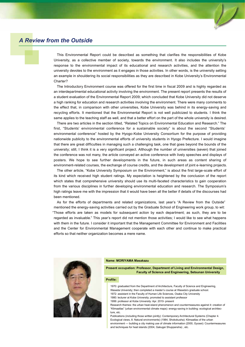# *A Review from the Outside*

This Environmental Report could be described as something that clarifies the responsibilities of Kobe University, as a collective member of society, towards the environment. It also includes the university's response to the environmental impact of its educational and research activities, and the attention the university devotes to the environment as it engages in those activities. In other words, is the university setting an example in shouldering its social responsibilities as they are described in Kobe University's Environmental Charter?

The Introductory Environment course was offered for the first time in fiscal 2009 and is highly regarded as an interdepartmental educational activity involving the environment. The present report presents the results of a student evaluation of the Environmental Report 2009; which concluded that Kobe University did not deserve a high ranking for education and research activities involving the environment. There were many comments to the effect that, in comparison with other universities, Kobe University was behind in its energy-saving and recycling efforts. It mentioned that the Environmental Report is not well publicized to students. I think the same applies to the teaching staff as well, and that a better effort on the part of the whole university is desired.

There are two articles in the section titled, "Related Topics on Environmental Education and Research." The first, "Students' environmental conference for a sustainable society" is about the second "Students' environmental conference" hosted by the Hyogo-Kobe University Consortium for the purpose of providing nationwide publicity to the environmental efforts of university students in Hyogo Prefecture. I would imagine that there are great difficulties in managing such a challenging task, one that goes beyond the bounds of the university; still, I think it is a very significant project. Although the number of universities (seven) that joined the conference was not many, the article conveyed an active conference with lively speeches and displays of posters. We hope to see further developments in the future, in such areas as content sharing of environment-related courses, the exchange of course credits, and the development of joint e-learning projects.

The other article, "Kobe University Symposium on the Environment," is about the first large-scale effort of its kind which received high student ratings. My expectation is heightened by the conclusion of the report which states that comprehensive university should use its multi-faceted characteristics to gain cooperation from the various disciplines in further developing environmental education and research. The Symposium's high ratings leave me with the impression that it would have been all the better if details of the discourses had been mentioned.

As for the efforts of departments and related organizations, last year's "A Review from the Outside" mentioned the energy-saving activities carried out by the Graduate School of Engineering work group, to wit: "Those efforts are taken as models for subsequent action by each department; as such, they are to be regarded as invaluable." This year's report did not mention those activities; I would like to see what happens with them in the future. I consider it important that the Management Committee for Environment and Facilities and the Center for Environmental Management cooperate with each other and continue to make practical efforts so that neither organization becomes a mere name.



#### **Name: MORIYAMA Masakazu**

**Present occupation: Professor, Department of Living and Environmental Design, Faculty of Science and Engineering, Setsunan University**

#### **Profile:**

- 1970: graduated from the Department of Architecture, Faculty of Science and Engineering, Waseda University; then completed a master's course at Waseda's graduate school. 1972: assistant in the Faculty of Human Life Sciences, Osaka City University
	- 1980: lecturer at Kobe University; promoted to assistant professor
- 1999: professor at Kobe University: Apr. 2010- present

Research themes: the urban heat-island phenomenon and countermeasures against it: creation of "Klimaatlas" (urban environmental climate maps): energy-saving in building: ecological architecture, etc.

Publications (including those written jointly): Contemporary Architectural Systems (Chapter 4. Ecological views, 8. Natural environments) (1984, Shokokusha): Klimaatlas of the urban environment — building a city making use of climate information (2000, Gyosei): Countermeasures and techniques for heat islands (2004, Gakugei Shuppansha) , etc.